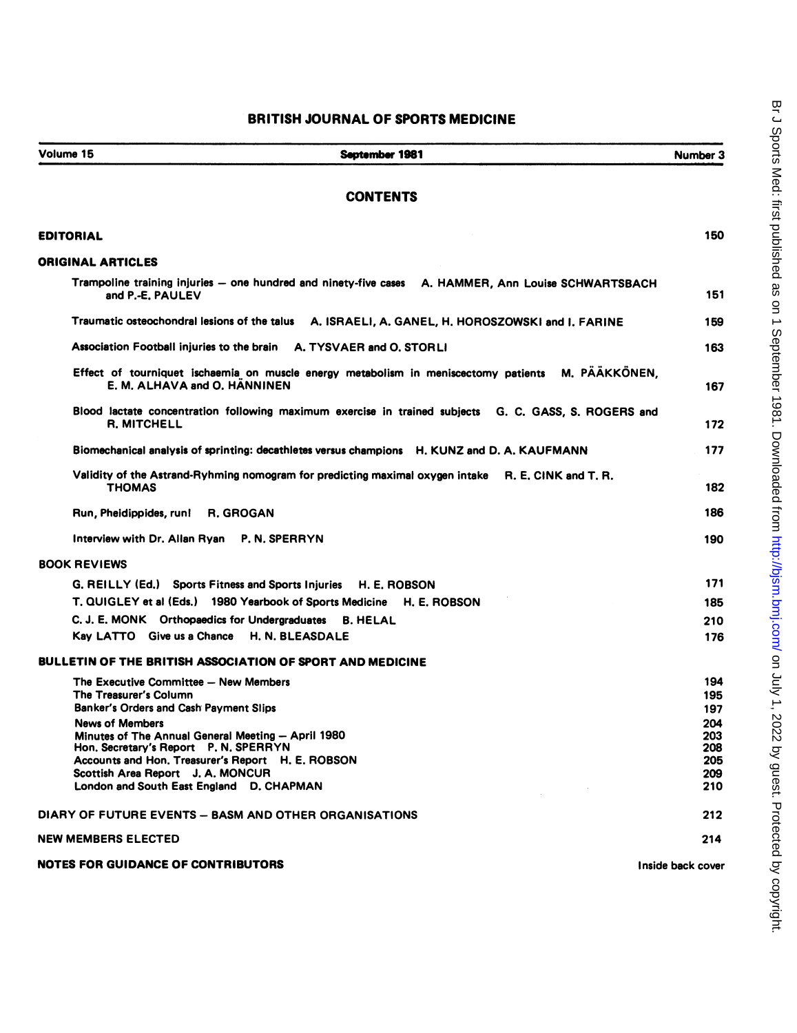## Volume 15 September 1981 Number 3 **CONTENTS** EDITORIAL 150 ORIGINAL ARTICLES Trampoline training injuries - one hundred and ninety-five cases A. HAMMER, Ann Louise SCHWARTSBACH and P.-E. PAULEV 151 Traumatic osteochondral lesions of the talus A. ISRAELI, A. GANEL, H. HOROSZOWSKI and 1. FARINE 159 Association Football injuries to the brain A. TYSVAER and O. STORLI 163 Effect of tourniquet ischaemia on muscle energy metabolism In meniscectomy patients M. PAAKKONEN, E. M. ALHAVA and O. HANNINEN 167 Blood lactate concentration following maximum exercise in trained subjects G. C. GASS, S. ROGERS and R. MITCHELL 172 Biomechanical analysis of sprinting: decathletes versus champions H. KUNZ and D. A. KAUFMANN 177 Validity of the Astrand-Ryhming nomogram for predicting maximal oxygen intake R. E. CINK and T. R. THOMAS 182 Run, Pheldippides, runl R. GROGAN 186 Interview with Dr. Allan Ryan P. N. SPERRYN 190 BOOK REVIEWS G. REILLY (Ed.) Sports Fitness and Sports Injuries H. E. ROBSON 171 T. QUIGLEY et al (Eds.) 1980 Yearbook of Sports Medicine H. E. ROBSON 185 C. J. E. MONK Orthopaedics for Undergraduates B. HELAL 210 Kay LATTO Give us a Chance H. N. BLEASDALE 176 BULLETIN OF THE BRITISH ASSOCIATION OF SPORT AND MEDICINE The Executive Committee -- New Members 194 The Treasurer's Column 195 Banker's Orders and Cash Payment Slips 197 News of Members 204<br>Minutes of The Annual General Meeting — April 1980 **203** 203 Minutes of The Annual General Meeting -- April 1980<br>Hon, Secretary's Report P. N. SPERRYN 208 Hon. Secretary's Report P. N. SPERRYN 208 Accounts and Hon. Treasurer's Report H. E. ROBSON Scottish Area Report J. A. MONCUR<br>
1999 - London and South East England D. CHAPMAN London and South East England D. CHAPMAN DIARY OF FUTURE EVENTS - BASM AND OTHER ORGANISATIONS 212 NEW MEMBERS ELECTED 214 NOTES FOR GUIDANCE OF CONTRIBUTORS **Inside back cover** the contract of the cover of the cover of the cover of the cover of the cover of the cover of the cover of the cover of the cover of the cover of the cover of the cove

BRITISH JOURNAL OF SPORTS MEDICINE